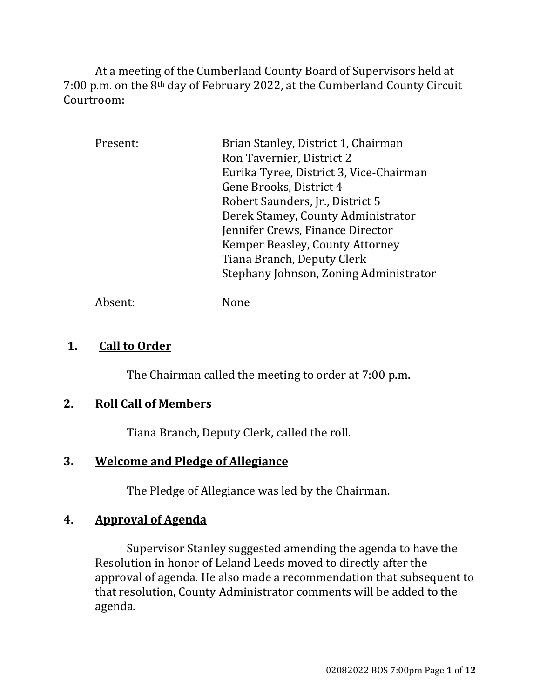At a meeting of the Cumberland County Board of Supervisors held at 7:00 p.m. on the 8th day of February 2022, at the Cumberland County Circuit Courtroom:

| Present: | Brian Stanley, District 1, Chairman     |
|----------|-----------------------------------------|
|          | Ron Tavernier, District 2               |
|          | Eurika Tyree, District 3, Vice-Chairman |
|          | Gene Brooks, District 4                 |
|          | Robert Saunders, Jr., District 5        |
|          | Derek Stamey, County Administrator      |
|          | Jennifer Crews, Finance Director        |
|          | Kemper Beasley, County Attorney         |
|          | Tiana Branch, Deputy Clerk              |
|          | Stephany Johnson, Zoning Administrator  |
|          |                                         |

Absent: None

## **1. Call to Order**

The Chairman called the meeting to order at 7:00 p.m.

# **2. Roll Call of Members**

Tiana Branch, Deputy Clerk, called the roll.

# **3. Welcome and Pledge of Allegiance**

The Pledge of Allegiance was led by the Chairman.

## **4. Approval of Agenda**

Supervisor Stanley suggested amending the agenda to have the Resolution in honor of Leland Leeds moved to directly after the approval of agenda. He also made a recommendation that subsequent to that resolution, County Administrator comments will be added to the agenda.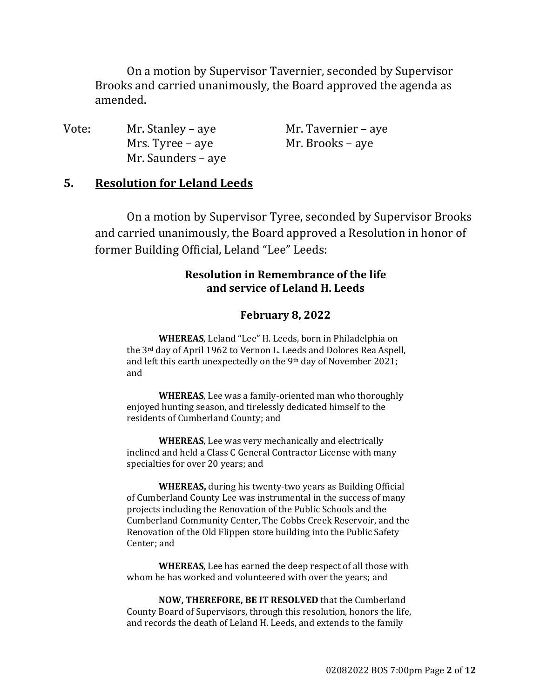On a motion by Supervisor Tavernier, seconded by Supervisor Brooks and carried unanimously, the Board approved the agenda as amended.

| Vote: | Mr. Stanley – aye  | Mr. Tavernier – aye |
|-------|--------------------|---------------------|
|       | Mrs. Tyree – aye   | Mr. Brooks – aye    |
|       | Mr. Saunders – aye |                     |

## **5. Resolution for Leland Leeds**

On a motion by Supervisor Tyree, seconded by Supervisor Brooks and carried unanimously, the Board approved a Resolution in honor of former Building Official, Leland "Lee" Leeds:

#### **Resolution** in Remembrance of the life **and service of Leland H. Leeds**

#### **February 8, 2022**

**WHEREAS**, Leland "Lee" H. Leeds, born in Philadelphia on the 3rd day of April 1962 to Vernon L. Leeds and Dolores Rea Aspell, and left this earth unexpectedly on the 9<sup>th</sup> day of November 2021; and

**WHEREAS**, Lee was a family-oriented man who thoroughly enjoyed hunting season, and tirelessly dedicated himself to the residents of Cumberland County; and

**WHEREAS**, Lee was very mechanically and electrically inclined and held a Class C General Contractor License with many specialties for over 20 years; and

**WHEREAS,** during his twenty-two years as Building Official of Cumberland County Lee was instrumental in the success of many projects including the Renovation of the Public Schools and the Cumberland Community Center, The Cobbs Creek Reservoir, and the Renovation of the Old Flippen store building into the Public Safety Center; and

**WHEREAS**, Lee has earned the deep respect of all those with whom he has worked and volunteered with over the years; and

**NOW, THEREFORE, BE IT RESOLVED** that the Cumberland County Board of Supervisors, through this resolution, honors the life, and records the death of Leland H. Leeds, and extends to the family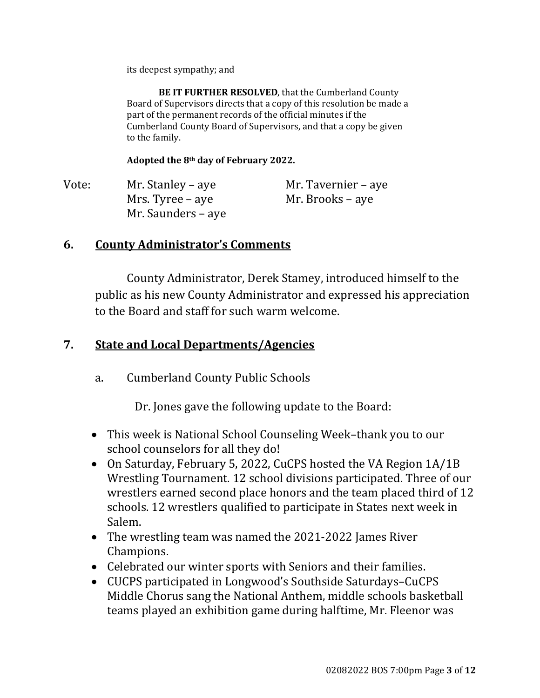its deepest sympathy; and

**BE IT FURTHER RESOLVED**, that the Cumberland County Board of Supervisors directs that a copy of this resolution be made a part of the permanent records of the official minutes if the Cumberland County Board of Supervisors, and that a copy be given to the family.

**Adopted the 8th day of February 2022.**

| Vote: | Mr. Stanley – aye  | Mr. Tavernier – aye |
|-------|--------------------|---------------------|
|       | Mrs. Tyree – aye   | Mr. Brooks – aye    |
|       | Mr. Saunders – aye |                     |

# **6. County Administrator's Comments**

County Administrator, Derek Stamey, introduced himself to the public as his new County Administrator and expressed his appreciation to the Board and staff for such warm welcome.

# **7. State and Local Departments/Agencies**

a. Cumberland County Public Schools

Dr. Jones gave the following update to the Board:

- This week is National School Counseling Week–thank you to our school counselors for all they do!
- On Saturday, February 5, 2022, CuCPS hosted the VA Region 1A/1B Wrestling Tournament. 12 school divisions participated. Three of our wrestlers earned second place honors and the team placed third of 12 schools. 12 wrestlers qualified to participate in States next week in Salem.
- The wrestling team was named the 2021-2022 James River Champions.
- Celebrated our winter sports with Seniors and their families.
- CUCPS participated in Longwood's Southside Saturdays–CuCPS Middle Chorus sang the National Anthem, middle schools basketball teams played an exhibition game during halftime, Mr. Fleenor was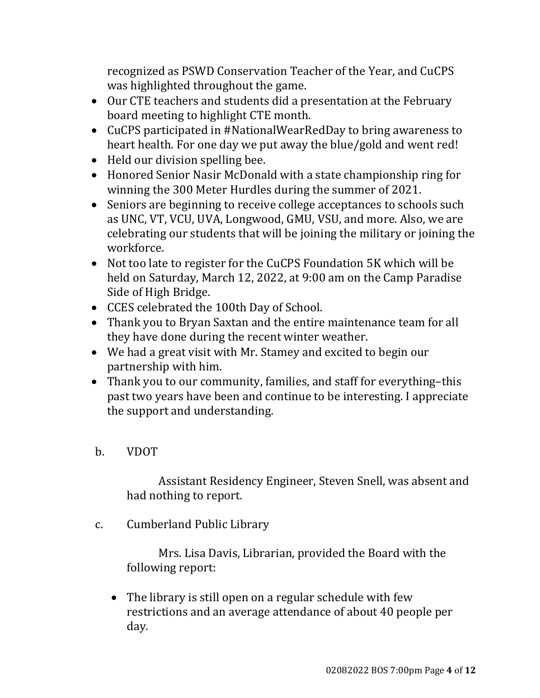recognized as PSWD Conservation Teacher of the Year, and CuCPS was highlighted throughout the game.

- Our CTE teachers and students did a presentation at the February board meeting to highlight CTE month.
- CuCPS participated in #NationalWearRedDay to bring awareness to heart health. For one day we put away the blue/gold and went red!
- Held our division spelling bee.
- Honored Senior Nasir McDonald with a state championship ring for winning the 300 Meter Hurdles during the summer of 2021.
- Seniors are beginning to receive college acceptances to schools such as UNC, VT, VCU, UVA, Longwood, GMU, VSU, and more. Also, we are celebrating our students that will be joining the military or joining the workforce.
- Not too late to register for the CuCPS Foundation 5K which will be held on Saturday, March 12, 2022, at 9:00 am on the Camp Paradise Side of High Bridge.
- CCES celebrated the 100th Day of School.
- Thank you to Bryan Saxtan and the entire maintenance team for all they have done during the recent winter weather.
- We had a great visit with Mr. Stamey and excited to begin our partnership with him.
- Thank you to our community, families, and staff for everything–this past two years have been and continue to be interesting. I appreciate the support and understanding.
- b. VDOT

Assistant Residency Engineer, Steven Snell, was absent and had nothing to report.

c. Cumberland Public Library

Mrs. Lisa Davis, Librarian, provided the Board with the following report:

• The library is still open on a regular schedule with few restrictions and an average attendance of about 40 people per day.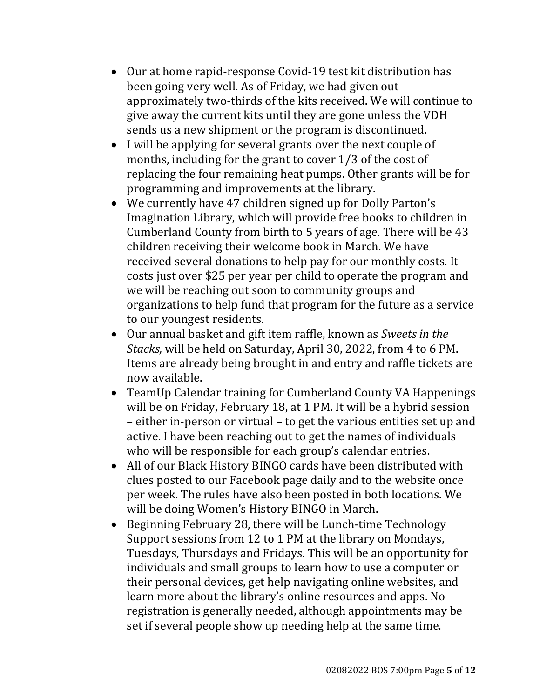- Our at home rapid-response Covid-19 test kit distribution has been going very well. As of Friday, we had given out approximately two-thirds of the kits received. We will continue to give away the current kits until they are gone unless the VDH sends us a new shipment or the program is discontinued.
- I will be applying for several grants over the next couple of months, including for the grant to cover 1/3 of the cost of replacing the four remaining heat pumps. Other grants will be for programming and improvements at the library.
- We currently have 47 children signed up for Dolly Parton's Imagination Library, which will provide free books to children in Cumberland County from birth to 5 years of age. There will be 43 children receiving their welcome book in March. We have received several donations to help pay for our monthly costs. It costs just over \$25 per year per child to operate the program and we will be reaching out soon to community groups and organizations to help fund that program for the future as a service to our youngest residents.
- Our annual basket and gift item raffle, known as *Sweets in the Stacks,* will be held on Saturday, April 30, 2022, from 4 to 6 PM. Items are already being brought in and entry and raffle tickets are now available.
- TeamUp Calendar training for Cumberland County VA Happenings will be on Friday, February 18, at 1 PM. It will be a hybrid session – either in-person or virtual – to get the various entities set up and active. I have been reaching out to get the names of individuals who will be responsible for each group's calendar entries.
- All of our Black History BINGO cards have been distributed with clues posted to our Facebook page daily and to the website once per week. The rules have also been posted in both locations. We will be doing Women's History BINGO in March.
- Beginning February 28, there will be Lunch-time Technology Support sessions from 12 to 1 PM at the library on Mondays, Tuesdays, Thursdays and Fridays. This will be an opportunity for individuals and small groups to learn how to use a computer or their personal devices, get help navigating online websites, and learn more about the library's online resources and apps. No registration is generally needed, although appointments may be set if several people show up needing help at the same time.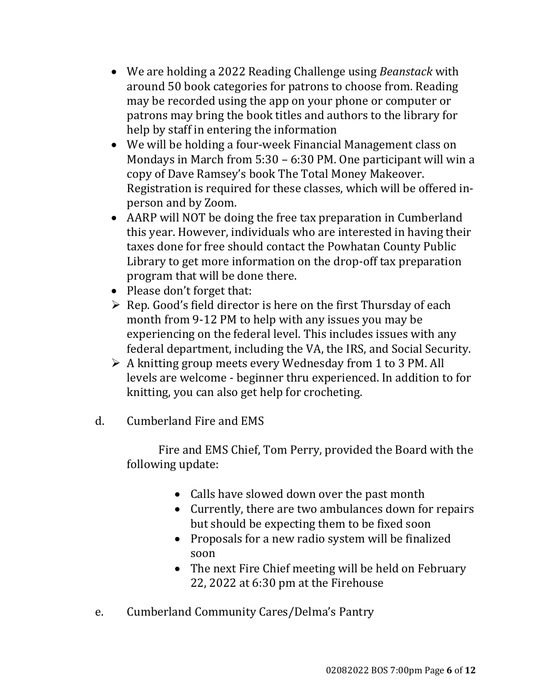- We are holding a 2022 Reading Challenge using *Beanstack* with around 50 book categories for patrons to choose from. Reading may be recorded using the app on your phone or computer or patrons may bring the book titles and authors to the library for help by staff in entering the information
- We will be holding a four-week Financial Management class on Mondays in March from 5:30 – 6:30 PM. One participant will win a copy of Dave Ramsey's book The Total Money Makeover. Registration is required for these classes, which will be offered inperson and by Zoom.
- AARP will NOT be doing the free tax preparation in Cumberland this year. However, individuals who are interested in having their taxes done for free should contact the Powhatan County Public Library to get more information on the drop-off tax preparation program that will be done there.
- Please don't forget that:
- $\triangleright$  Rep. Good's field director is here on the first Thursday of each month from 9-12 PM to help with any issues you may be experiencing on the federal level. This includes issues with any federal department, including the VA, the IRS, and Social Security.
- $\triangleright$  A knitting group meets every Wednesday from 1 to 3 PM. All levels are welcome - beginner thru experienced. In addition to for knitting, you can also get help for crocheting.
- d. Cumberland Fire and EMS

Fire and EMS Chief, Tom Perry, provided the Board with the following update:

- Calls have slowed down over the past month
- Currently, there are two ambulances down for repairs but should be expecting them to be fixed soon
- Proposals for a new radio system will be finalized soon
- The next Fire Chief meeting will be held on February 22, 2022 at 6:30 pm at the Firehouse
- e. Cumberland Community Cares/Delma's Pantry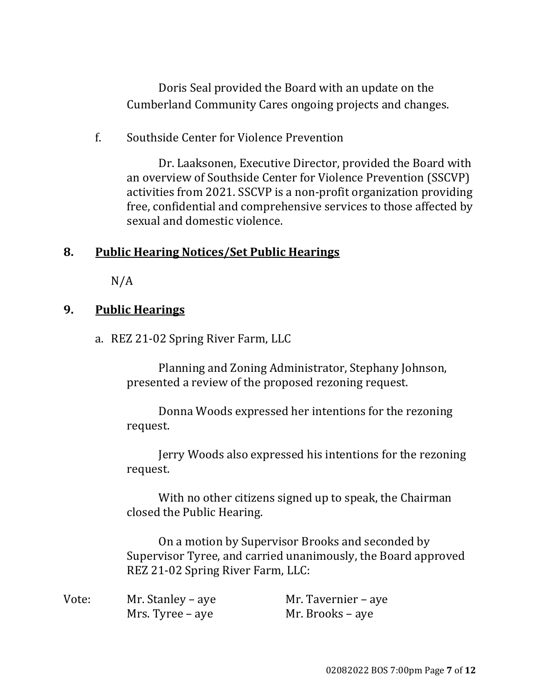Doris Seal provided the Board with an update on the Cumberland Community Cares ongoing projects and changes.

f. Southside Center for Violence Prevention

Dr. Laaksonen, Executive Director, provided the Board with an overview of Southside Center for Violence Prevention (SSCVP) activities from 2021. SSCVP is a non-profit organization providing free, confidential and comprehensive services to those affected by sexual and domestic violence.

## **8. Public Hearing Notices/Set Public Hearings**

N/A

## **9. Public Hearings**

a. REZ 21-02 Spring River Farm, LLC

Planning and Zoning Administrator, Stephany Johnson, presented a review of the proposed rezoning request.

Donna Woods expressed her intentions for the rezoning request.

Jerry Woods also expressed his intentions for the rezoning request.

With no other citizens signed up to speak, the Chairman closed the Public Hearing.

On a motion by Supervisor Brooks and seconded by Supervisor Tyree, and carried unanimously, the Board approved REZ 21-02 Spring River Farm, LLC:

| Vote: | Mr. Stanley – aye | Mr. Tavernier – aye |
|-------|-------------------|---------------------|
|       | Mrs. Tyree – aye  | Mr. Brooks – aye    |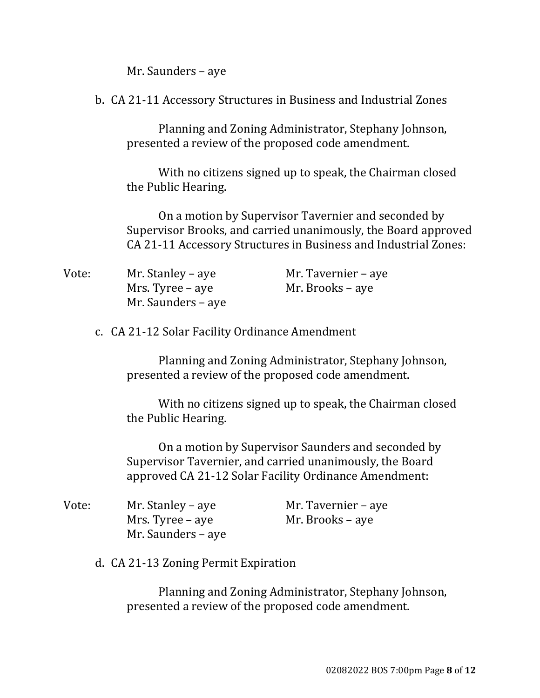Mr. Saunders – aye

b. CA 21-11 Accessory Structures in Business and Industrial Zones

Planning and Zoning Administrator, Stephany Johnson, presented a review of the proposed code amendment.

With no citizens signed up to speak, the Chairman closed the Public Hearing.

On a motion by Supervisor Tavernier and seconded by Supervisor Brooks, and carried unanimously, the Board approved CA 21-11 Accessory Structures in Business and Industrial Zones:

| Vote: | Mr. Stanley – aye  | Mr. Tavernier – aye |
|-------|--------------------|---------------------|
|       | Mrs. Tyree – aye   | Mr. Brooks – aye    |
|       | Mr. Saunders – aye |                     |

c. CA 21-12 Solar Facility Ordinance Amendment

Planning and Zoning Administrator, Stephany Johnson, presented a review of the proposed code amendment.

With no citizens signed up to speak, the Chairman closed the Public Hearing.

On a motion by Supervisor Saunders and seconded by Supervisor Tavernier, and carried unanimously, the Board approved CA 21-12 Solar Facility Ordinance Amendment:

| Vote: | Mr. Stanley – aye  | Mr. Tavernier – aye |
|-------|--------------------|---------------------|
|       | Mrs. Tyree – aye   | Mr. Brooks – aye    |
|       | Mr. Saunders – aye |                     |

d. CA 21-13 Zoning Permit Expiration

Planning and Zoning Administrator, Stephany Johnson, presented a review of the proposed code amendment.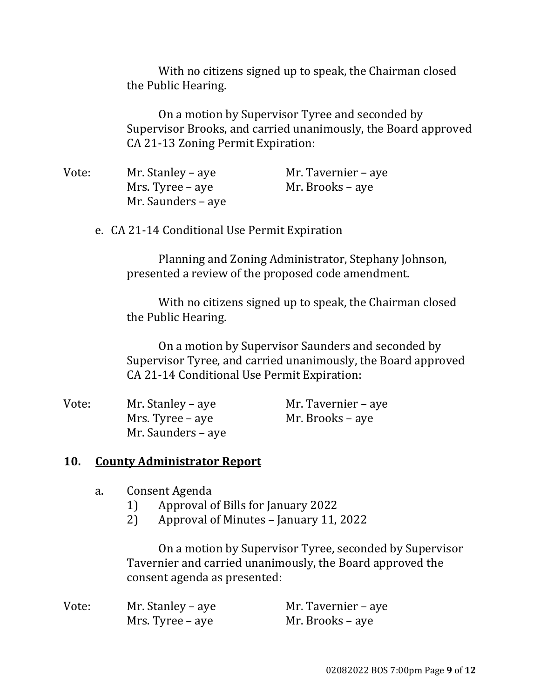With no citizens signed up to speak, the Chairman closed the Public Hearing.

On a motion by Supervisor Tyree and seconded by Supervisor Brooks, and carried unanimously, the Board approved CA 21-13 Zoning Permit Expiration:

| Vote: | Mr. Stanley – aye  | Mr. Tavernier – aye |
|-------|--------------------|---------------------|
|       | Mrs. Tyree – aye   | Mr. Brooks – aye    |
|       | Mr. Saunders – aye |                     |

e. CA 21-14 Conditional Use Permit Expiration

Planning and Zoning Administrator, Stephany Johnson, presented a review of the proposed code amendment.

With no citizens signed up to speak, the Chairman closed the Public Hearing.

On a motion by Supervisor Saunders and seconded by Supervisor Tyree, and carried unanimously, the Board approved CA 21-14 Conditional Use Permit Expiration:

| Vote: | Mr. Stanley – aye  | Mr. Tavernier – aye |
|-------|--------------------|---------------------|
|       | Mrs. Tyree – aye   | Mr. Brooks – aye    |
|       | Mr. Saunders – aye |                     |

## **10. County Administrator Report**

- a. Consent Agenda
	- 1) Approval of Bills for January 2022
	- 2) Approval of Minutes January 11, 2022

On a motion by Supervisor Tyree, seconded by Supervisor Tavernier and carried unanimously, the Board approved the consent agenda as presented:

| Vote: | Mr. Stanley – aye | Mr. Tavernier – aye |
|-------|-------------------|---------------------|
|       | Mrs. Tyree – aye  | Mr. Brooks – aye    |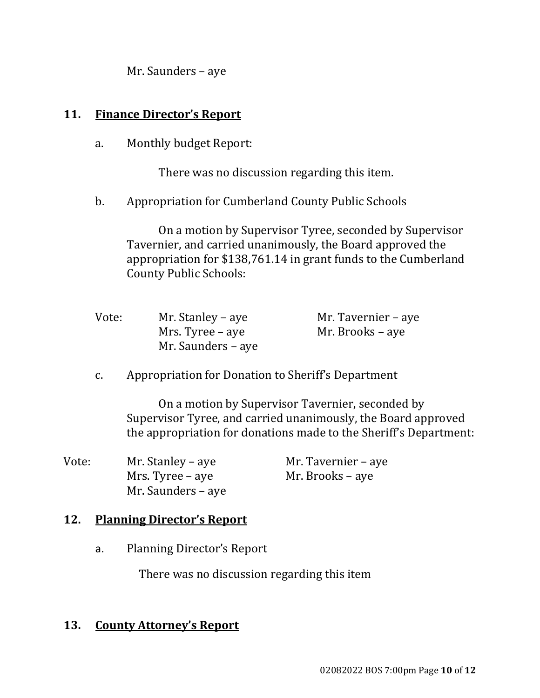Mr. Saunders – aye

#### **11. Finance Director's Report**

a. Monthly budget Report:

There was no discussion regarding this item.

b. Appropriation for Cumberland County Public Schools

On a motion by Supervisor Tyree, seconded by Supervisor Tavernier, and carried unanimously, the Board approved the appropriation for \$138,761.14 in grant funds to the Cumberland County Public Schools:

| Vote: | Mr. Stanley – aye  | Mr. Tavernier – aye |
|-------|--------------------|---------------------|
|       | Mrs. Tyree – aye   | Mr. Brooks – aye    |
|       | Mr. Saunders – aye |                     |

c. Appropriation for Donation to Sheriff's Department

On a motion by Supervisor Tavernier, seconded by Supervisor Tyree, and carried unanimously, the Board approved the appropriation for donations made to the Sheriff's Department:

| Vote: | Mr. Stanley – aye  | Mr. Tavernier – aye |
|-------|--------------------|---------------------|
|       | Mrs. Tyree – aye   | Mr. Brooks – aye    |
|       | Mr. Saunders – aye |                     |

## **12. Planning Director's Report**

a. Planning Director's Report

There was no discussion regarding this item

#### **13. County Attorney's Report**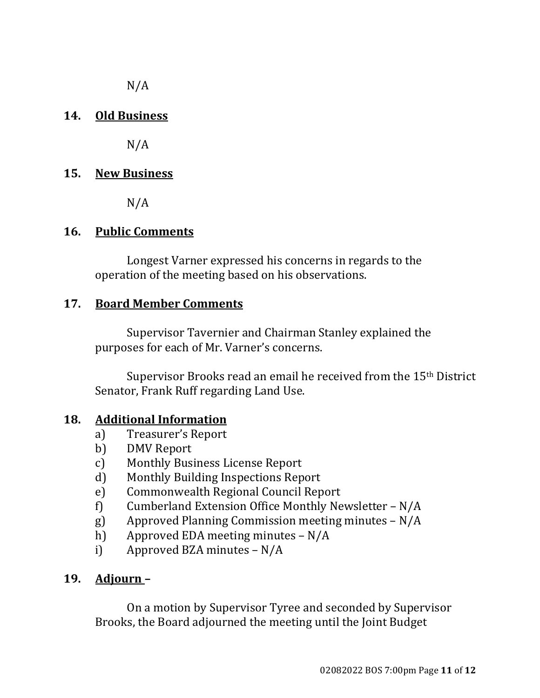$N/A$ 

## **14. Old Business**

 $N/A$ 

## **15. New Business**

N/A

## **16. Public Comments**

Longest Varner expressed his concerns in regards to the operation of the meeting based on his observations.

## **17. Board Member Comments**

Supervisor Tavernier and Chairman Stanley explained the purposes for each of Mr. Varner's concerns.

Supervisor Brooks read an email he received from the 15<sup>th</sup> District Senator, Frank Ruff regarding Land Use.

## **18. Additional Information**

- a) Treasurer's Report
- b) DMV Report
- c) Monthly Business License Report
- d) Monthly Building Inspections Report
- e) Commonwealth Regional Council Report
- f) Cumberland Extension Office Monthly Newsletter N/A
- g) Approved Planning Commission meeting minutes N/A
- h) Approved EDA meeting minutes N/A
- i) Approved BZA minutes N/A

# **19. Adjourn-**

On a motion by Supervisor Tyree and seconded by Supervisor Brooks, the Board adjourned the meeting until the Joint Budget